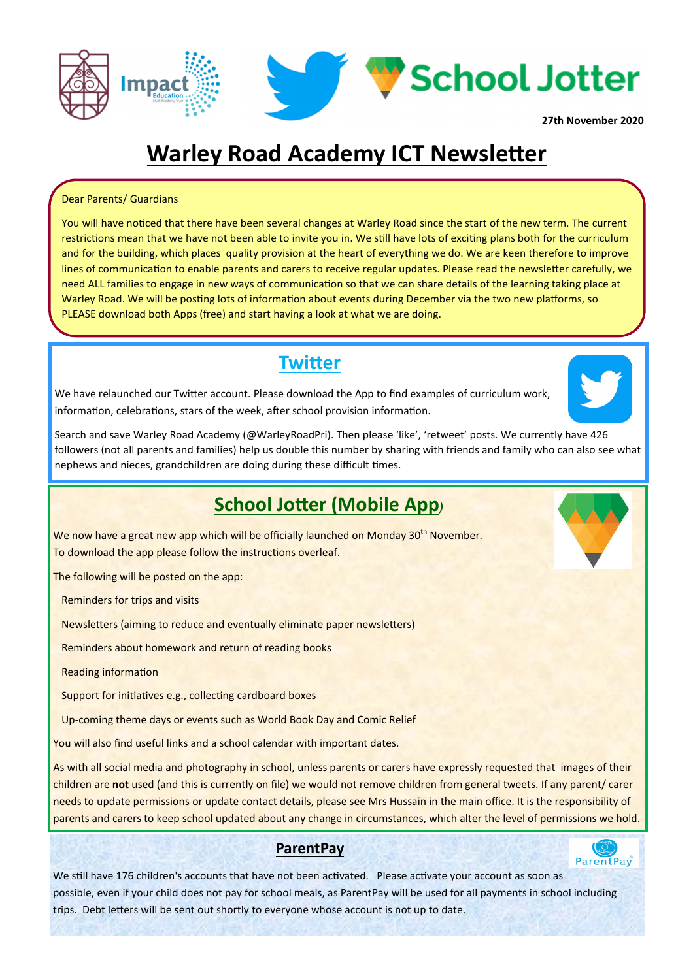

## **Warley Road Academy ICT Newsletter**

#### Dear Parents/ Guardians

You will have noticed that there have been several changes at Warley Road since the start of the new term. The current restrictions mean that we have not been able to invite you in. We still have lots of exciting plans both for the curriculum and for the building, which places quality provision at the heart of everything we do. We are keen therefore to improve lines of communication to enable parents and carers to receive regular updates. Please read the newsletter carefully, we need ALL families to engage in new ways of communication so that we can share details of the learning taking place at Warley Road. We will be posting lots of information about events during December via the two new platforms, so PLEASE download both Apps (free) and start having a look at what we are doing.

### **Twitter**

We have relaunched our Twitter account. Please download the App to find examples of curriculum work, information, celebrations, stars of the week, after school provision information.



## **School Jotter (Mobile App**)

We now have a great new app which will be officially launched on Monday 30<sup>th</sup> November. To download the app please follow the instructions overleaf.

The following will be posted on the app:

Reminders for trips and visits

Newsletters (aiming to reduce and eventually eliminate paper newsletters)

Reminders about homework and return of reading books

**Reading information** 

Support for initiatives e.g., collecting cardboard boxes

Up-coming theme days or events such as World Book Day and Comic Relief

You will also find useful links and a school calendar with important dates.

As with all social media and photography in school, unless parents or carers have expressly requested that images of their children are **not** used (and this is currently on file) we would not remove children from general tweets. If any parent/ carer needs to update permissions or update contact details, please see Mrs Hussain in the main office. It is the responsibility of parents and carers to keep school updated about any change in circumstances, which alter the level of permissions we hold.

#### **ParentPay**



We still have 176 children's accounts that have not been activated. Please activate your account as soon as possible, even if your child does not pay for school meals, as ParentPay will be used for all payments in school including trips. Debt letters will be sent out shortly to everyone whose account is not up to date.